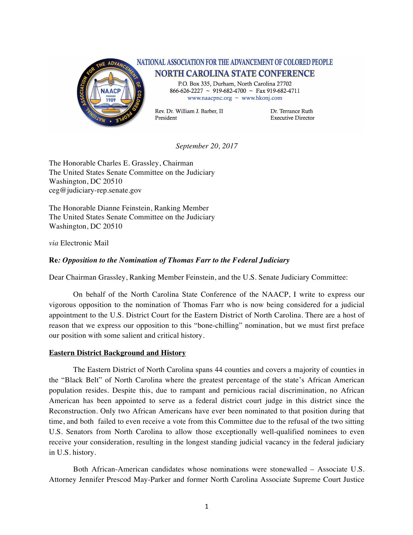

## NATIONAL ASSOCIATION FOR THE ADVANCEMENT OF COLORED PEOPLE **NORTH CAROLINA STATE CONFERENCE**

P.O. Box 335, Durham, North Carolina 27702  $866-626-2227 \sim 919-682-4700 \sim \text{Fax } 919-682-4711$ www.naacpnc.org  $\sim$  www.hkonj.com

Rev. Dr. William J. Barber. II President

Dr. Terrance Ruth **Executive Director** 

*September 20, 2017*

The Honorable Charles E. Grassley, Chairman The United States Senate Committee on the Judiciary Washington, DC 20510 ceg@judiciary-rep.senate.gov

The Honorable Dianne Feinstein, Ranking Member The United States Senate Committee on the Judiciary Washington, DC 20510

*via* Electronic Mail

## **Re***: Opposition to the Nomination of Thomas Farr to the Federal Judiciary*

Dear Chairman Grassley, Ranking Member Feinstein, and the U.S. Senate Judiciary Committee:

On behalf of the North Carolina State Conference of the NAACP, I write to express our vigorous opposition to the nomination of Thomas Farr who is now being considered for a judicial appointment to the U.S. District Court for the Eastern District of North Carolina. There are a host of reason that we express our opposition to this "bone-chilling" nomination, but we must first preface our position with some salient and critical history.

## **Eastern District Background and History**

The Eastern District of North Carolina spans 44 counties and covers a majority of counties in the "Black Belt" of North Carolina where the greatest percentage of the state's African American population resides. Despite this, due to rampant and pernicious racial discrimination, no African American has been appointed to serve as a federal district court judge in this district since the Reconstruction. Only two African Americans have ever been nominated to that position during that time, and both failed to even receive a vote from this Committee due to the refusal of the two sitting U.S. Senators from North Carolina to allow those exceptionally well-qualified nominees to even receive your consideration, resulting in the longest standing judicial vacancy in the federal judiciary in U.S. history.

Both African-American candidates whose nominations were stonewalled – Associate U.S. Attorney Jennifer Prescod May-Parker and former North Carolina Associate Supreme Court Justice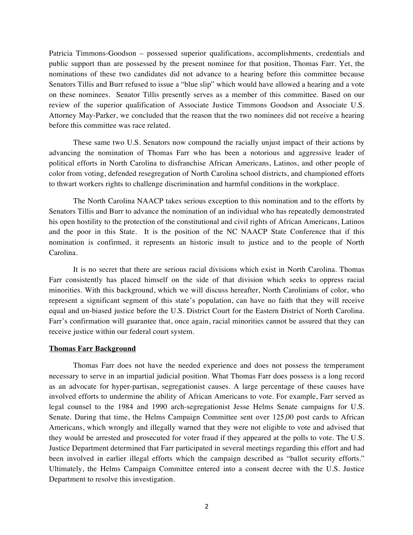Patricia Timmons-Goodson – possessed superior qualifications, accomplishments, credentials and public support than are possessed by the present nominee for that position, Thomas Farr. Yet, the nominations of these two candidates did not advance to a hearing before this committee because Senators Tillis and Burr refused to issue a "blue slip" which would have allowed a hearing and a vote on these nominees. Senator Tillis presently serves as a member of this committee. Based on our review of the superior qualification of Associate Justice Timmons Goodson and Associate U.S. Attorney May-Parker, we concluded that the reason that the two nominees did not receive a hearing before this committee was race related.

These same two U.S. Senators now compound the racially unjust impact of their actions by advancing the nomination of Thomas Farr who has been a notorious and aggressive leader of political efforts in North Carolina to disfranchise African Americans, Latinos, and other people of color from voting, defended resegregation of North Carolina school districts, and championed efforts to thwart workers rights to challenge discrimination and harmful conditions in the workplace.

The North Carolina NAACP takes serious exception to this nomination and to the efforts by Senators Tillis and Burr to advance the nomination of an individual who has repeatedly demonstrated his open hostility to the protection of the constitutional and civil rights of African Americans, Latinos and the poor in this State. It is the position of the NC NAACP State Conference that if this nomination is confirmed, it represents an historic insult to justice and to the people of North Carolina.

It is no secret that there are serious racial divisions which exist in North Carolina. Thomas Farr consistently has placed himself on the side of that division which seeks to oppress racial minorities. With this background, which we will discuss hereafter, North Carolinians of color, who represent a significant segment of this state's population, can have no faith that they will receive equal and un-biased justice before the U.S. District Court for the Eastern District of North Carolina. Farr's confirmation will guarantee that, once again, racial minorities cannot be assured that they can receive justice within our federal court system.

## **Thomas Farr Background**

Thomas Farr does not have the needed experience and does not possess the temperament necessary to serve in an impartial judicial position. What Thomas Farr does possess is a long record as an advocate for hyper-partisan, segregationist causes. A large percentage of these causes have involved efforts to undermine the ability of African Americans to vote. For example, Farr served as legal counsel to the 1984 and 1990 arch-segregationist Jesse Helms Senate campaigns for U.S. Senate. During that time, the Helms Campaign Committee sent over 125,00 post cards to African Americans, which wrongly and illegally warned that they were not eligible to vote and advised that they would be arrested and prosecuted for voter fraud if they appeared at the polls to vote. The U.S. Justice Department determined that Farr participated in several meetings regarding this effort and had been involved in earlier illegal efforts which the campaign described as "ballot security efforts." Ultimately, the Helms Campaign Committee entered into a consent decree with the U.S. Justice Department to resolve this investigation.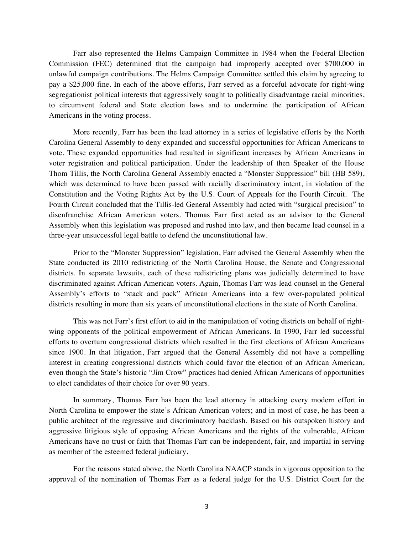Farr also represented the Helms Campaign Committee in 1984 when the Federal Election Commission (FEC) determined that the campaign had improperly accepted over \$700,000 in unlawful campaign contributions. The Helms Campaign Committee settled this claim by agreeing to pay a \$25,000 fine. In each of the above efforts, Farr served as a forceful advocate for right-wing segregationist political interests that aggressively sought to politically disadvantage racial minorities, to circumvent federal and State election laws and to undermine the participation of African Americans in the voting process.

More recently, Farr has been the lead attorney in a series of legislative efforts by the North Carolina General Assembly to deny expanded and successful opportunities for African Americans to vote. These expanded opportunities had resulted in significant increases by African Americans in voter registration and political participation. Under the leadership of then Speaker of the House Thom Tillis, the North Carolina General Assembly enacted a "Monster Suppression" bill (HB 589), which was determined to have been passed with racially discriminatory intent, in violation of the Constitution and the Voting Rights Act by the U.S. Court of Appeals for the Fourth Circuit. The Fourth Circuit concluded that the Tillis-led General Assembly had acted with "surgical precision" to disenfranchise African American voters. Thomas Farr first acted as an advisor to the General Assembly when this legislation was proposed and rushed into law, and then became lead counsel in a three-year unsuccessful legal battle to defend the unconstitutional law.

Prior to the "Monster Suppression" legislation, Farr advised the General Assembly when the State conducted its 2010 redistricting of the North Carolina House, the Senate and Congressional districts. In separate lawsuits, each of these redistricting plans was judicially determined to have discriminated against African American voters. Again, Thomas Farr was lead counsel in the General Assembly's efforts to "stack and pack" African Americans into a few over-populated political districts resulting in more than six years of unconstitutional elections in the state of North Carolina.

This was not Farr's first effort to aid in the manipulation of voting districts on behalf of rightwing opponents of the political empowerment of African Americans. In 1990, Farr led successful efforts to overturn congressional districts which resulted in the first elections of African Americans since 1900. In that litigation, Farr argued that the General Assembly did not have a compelling interest in creating congressional districts which could favor the election of an African American, even though the State's historic "Jim Crow" practices had denied African Americans of opportunities to elect candidates of their choice for over 90 years.

In summary, Thomas Farr has been the lead attorney in attacking every modern effort in North Carolina to empower the state's African American voters; and in most of case, he has been a public architect of the regressive and discriminatory backlash. Based on his outspoken history and aggressive litigious style of opposing African Americans and the rights of the vulnerable, African Americans have no trust or faith that Thomas Farr can be independent, fair, and impartial in serving as member of the esteemed federal judiciary.

For the reasons stated above, the North Carolina NAACP stands in vigorous opposition to the approval of the nomination of Thomas Farr as a federal judge for the U.S. District Court for the